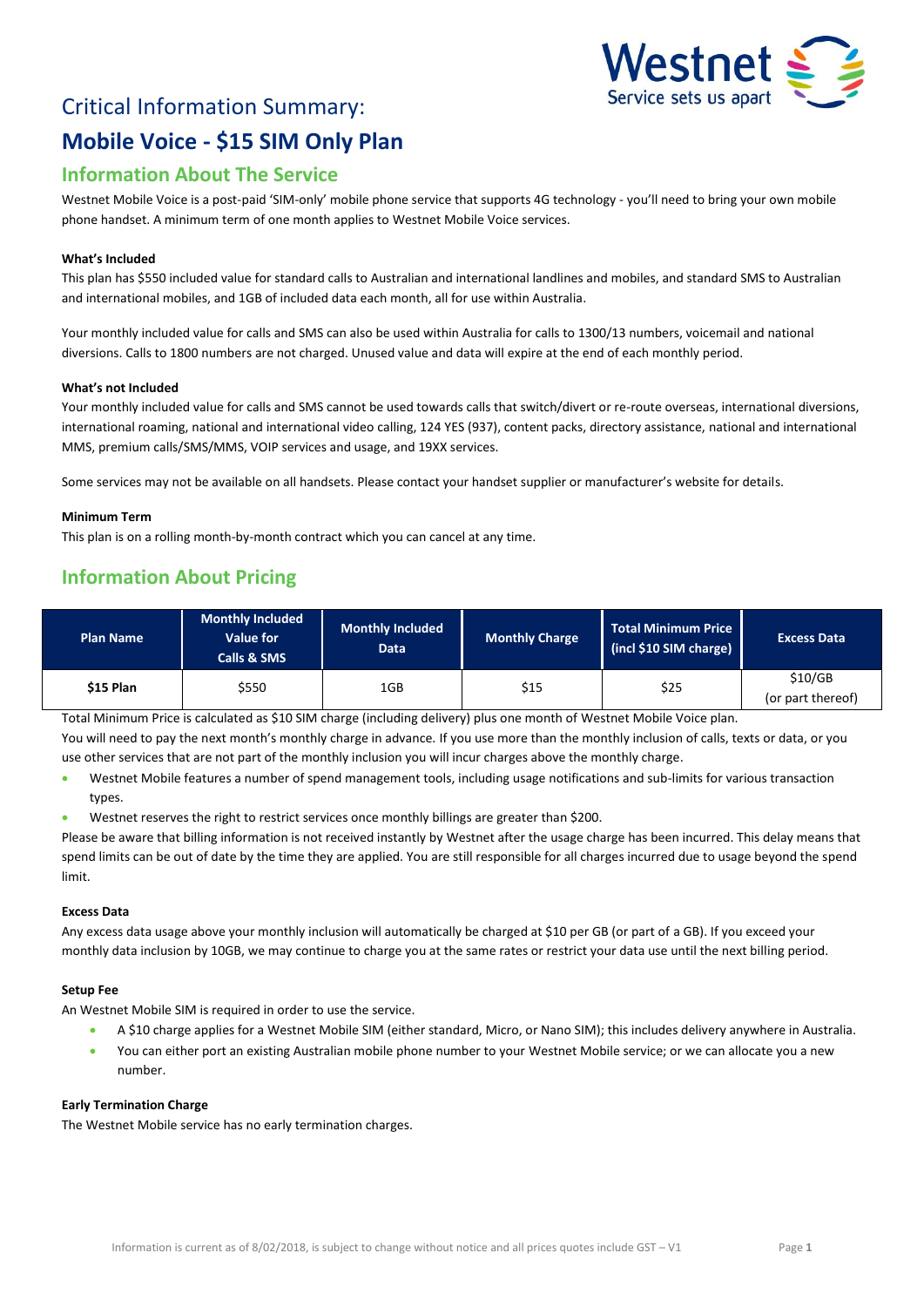# Critical Information Summary: **Mobile Voice - \$15 SIM Only Plan**



## **Information About The Service**

Westnet Mobile Voice is a post-paid 'SIM-only' mobile phone service that supports 4G technology - you'll need to bring your own mobile phone handset. A minimum term of one month applies to Westnet Mobile Voice services.

#### **What's Included**

This plan has \$550 included value for standard calls to Australian and international landlines and mobiles, and standard SMS to Australian and international mobiles, and 1GB of included data each month, all for use within Australia.

Your monthly included value for calls and SMS can also be used within Australia for calls to 1300/13 numbers, voicemail and national diversions. Calls to 1800 numbers are not charged. Unused value and data will expire at the end of each monthly period.

#### **What's not Included**

Your monthly included value for calls and SMS cannot be used towards calls that switch/divert or re-route overseas, international diversions, international roaming, national and international video calling, 124 YES (937), content packs, directory assistance, national and international MMS, premium calls/SMS/MMS, VOIP services and usage, and 19XX services.

Some services may not be available on all handsets. Please contact your handset supplier or manufacturer's website for details.

#### **Minimum Term**

This plan is on a rolling month-by-month contract which you can cancel at any time.

### **Information About Pricing**

| <b>Plan Name</b> | <b>Monthly Included</b><br>Value for<br>Calls & SMS | <b>Monthly Included</b><br><b>Data</b> | <b>Monthly Charge</b> | Total Minimum Price<br>(incl \$10 SIM charge) | <b>Excess Data</b>           |
|------------------|-----------------------------------------------------|----------------------------------------|-----------------------|-----------------------------------------------|------------------------------|
| \$15 Plan        | \$550                                               | 1GB                                    | \$15                  | \$25                                          | \$10/GB<br>(or part thereof) |

Total Minimum Price is calculated as \$10 SIM charge (including delivery) plus one month of Westnet Mobile Voice plan. You will need to pay the next month's monthly charge in advance. If you use more than the monthly inclusion of calls, texts or data, or you use other services that are not part of the monthly inclusion you will incur charges above the monthly charge.

- Westnet Mobile features a number of spend management tools, including usage notifications and sub-limits for various transaction types.
- Westnet reserves the right to restrict services once monthly billings are greater than \$200.

Please be aware that billing information is not received instantly by Westnet after the usage charge has been incurred. This delay means that spend limits can be out of date by the time they are applied. You are still responsible for all charges incurred due to usage beyond the spend limit.

#### **Excess Data**

Any excess data usage above your monthly inclusion will automatically be charged at \$10 per GB (or part of a GB). If you exceed your monthly data inclusion by 10GB, we may continue to charge you at the same rates or restrict your data use until the next billing period.

#### **Setup Fee**

An Westnet Mobile SIM is required in order to use the service.

- A \$10 charge applies for a Westnet Mobile SIM (either standard, Micro, or Nano SIM); this includes delivery anywhere in Australia.
- You can either port an existing Australian mobile phone number to your Westnet Mobile service; or we can allocate you a new number.

#### **Early Termination Charge**

The Westnet Mobile service has no early termination charges.